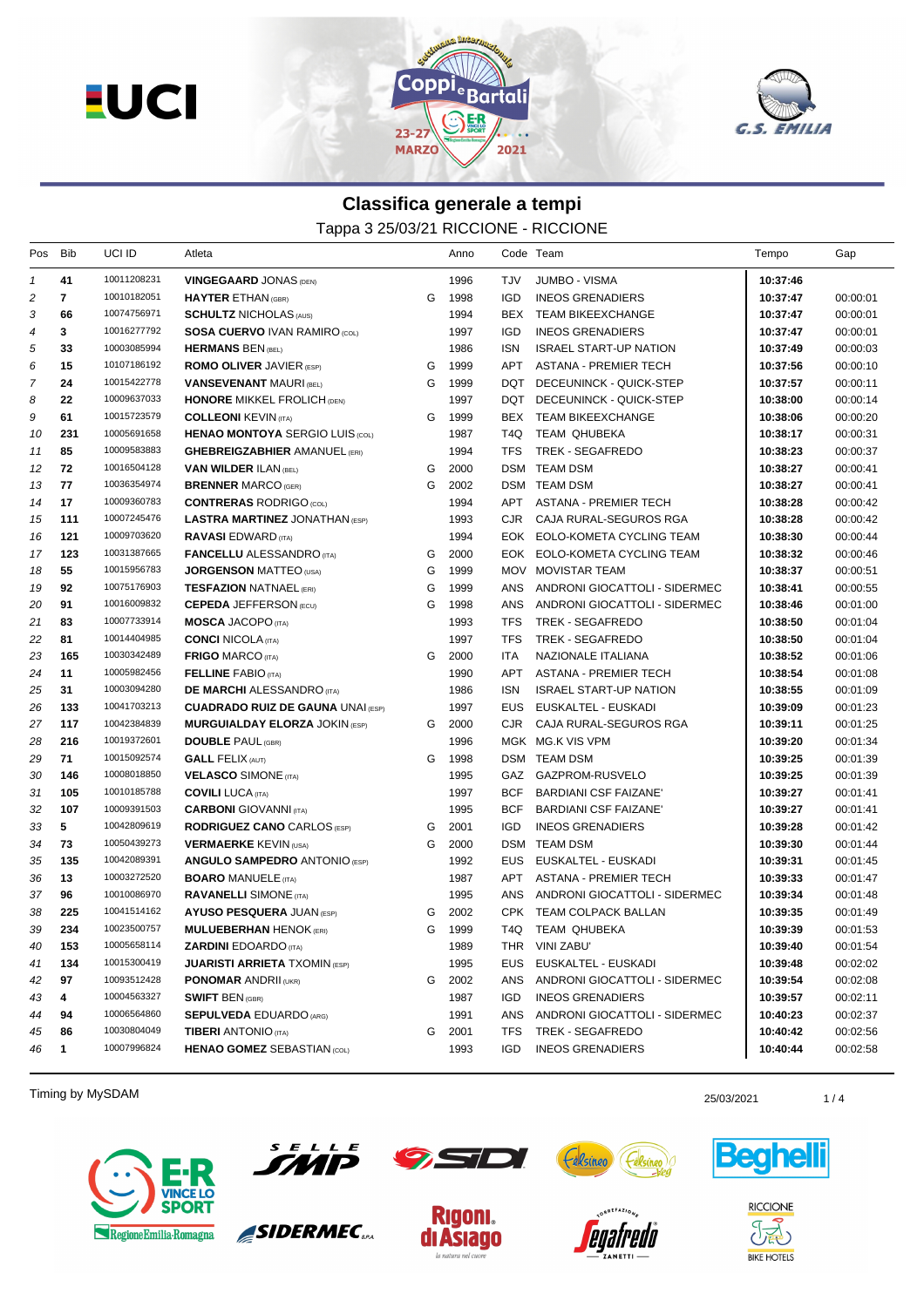



## **Classifica generale a tempi** Tappa 3 25/03/21 RICCIONE - RICCIONE

| Pos           | Bib | UCI ID      | Atleta                                   |   | Anno | Code Team        |                               | Tempo    | Gap      |
|---------------|-----|-------------|------------------------------------------|---|------|------------------|-------------------------------|----------|----------|
| $\mathcal{I}$ | 41  | 10011208231 | <b>VINGEGAARD JONAS (DEN)</b>            |   | 1996 | TJV              | <b>JUMBO - VISMA</b>          | 10:37:46 |          |
| 2             | 7   | 10010182051 | <b>HAYTER ETHAN (GBR)</b>                | G | 1998 | <b>IGD</b>       | <b>INEOS GRENADIERS</b>       | 10:37:47 | 00:00:01 |
| 3             | 66  | 10074756971 | <b>SCHULTZ NICHOLAS (AUS)</b>            |   | 1994 | BEX              | <b>TEAM BIKEEXCHANGE</b>      | 10:37:47 | 00:00:01 |
| 4             | 3   | 10016277792 | <b>SOSA CUERVO IVAN RAMIRO (COL)</b>     |   | 1997 | <b>IGD</b>       | <b>INEOS GRENADIERS</b>       | 10:37:47 | 00:00:01 |
| 5             | 33  | 10003085994 | <b>HERMANS BEN (BEL)</b>                 |   | 1986 | <b>ISN</b>       | <b>ISRAEL START-UP NATION</b> | 10:37:49 | 00:00:03 |
| 6             | 15  | 10107186192 | <b>ROMO OLIVER JAVIER (ESP)</b>          | G | 1999 | <b>APT</b>       | <b>ASTANA - PREMIER TECH</b>  | 10:37:56 | 00:00:10 |
| 7             | 24  | 10015422778 | <b>VANSEVENANT MAURI (BEL)</b>           | G | 1999 | DQT              | DECEUNINCK - QUICK-STEP       | 10:37:57 | 00:00:11 |
| 8             | 22  | 10009637033 | <b>HONORE MIKKEL FROLICH (DEN)</b>       |   | 1997 | DQT              | DECEUNINCK - QUICK-STEP       | 10:38:00 | 00:00:14 |
| 9             | 61  | 10015723579 | <b>COLLEONI KEVIN (ITA)</b>              | G | 1999 | BEX              | <b>TEAM BIKEEXCHANGE</b>      | 10:38:06 | 00:00:20 |
| 10            | 231 | 10005691658 | <b>HENAO MONTOYA SERGIO LUIS (COL)</b>   |   | 1987 | T <sub>4</sub> Q | TEAM QHUBEKA                  | 10:38:17 | 00:00:31 |
| 11            | 85  | 10009583883 | <b>GHEBREIGZABHIER AMANUEL (ERI)</b>     |   | 1994 | <b>TFS</b>       | <b>TREK - SEGAFREDO</b>       | 10:38:23 | 00:00:37 |
| 12            | 72  | 10016504128 | <b>VAN WILDER ILAN (BEL)</b>             | G | 2000 |                  | DSM TEAM DSM                  | 10:38:27 | 00:00:41 |
| 13            | 77  | 10036354974 | <b>BRENNER MARCO (GER)</b>               | G | 2002 |                  | DSM TEAM DSM                  | 10:38:27 | 00:00:41 |
| 14            | 17  | 10009360783 | <b>CONTRERAS RODRIGO (COL)</b>           |   | 1994 | APT              | ASTANA - PREMIER TECH         | 10:38:28 | 00:00:42 |
| 15            | 111 | 10007245476 | <b>LASTRA MARTINEZ JONATHAN (ESP)</b>    |   | 1993 | CJR.             | CAJA RURAL-SEGUROS RGA        | 10:38:28 | 00:00:42 |
| 16            | 121 | 10009703620 | <b>RAVASI EDWARD (ITA)</b>               |   | 1994 |                  | EOK EOLO-KOMETA CYCLING TEAM  | 10:38:30 | 00:00:44 |
| 17            | 123 | 10031387665 | <b>FANCELLU</b> ALESSANDRO (ITA)         | G | 2000 |                  | EOK EOLO-KOMETA CYCLING TEAM  | 10:38:32 | 00:00:46 |
| 18            | 55  | 10015956783 | <b>JORGENSON MATTEO (USA)</b>            | G | 1999 |                  | MOV MOVISTAR TEAM             | 10:38:37 | 00:00:51 |
| 19            | 92  | 10075176903 | <b>TESFAZION NATNAEL (ERI)</b>           | G | 1999 | ANS              | ANDRONI GIOCATTOLI - SIDERMEC | 10:38:41 | 00:00:55 |
| 20            | 91  | 10016009832 | <b>CEPEDA JEFFERSON (ECU)</b>            | G | 1998 | ANS              | ANDRONI GIOCATTOLI - SIDERMEC | 10:38:46 | 00:01:00 |
| 21            | 83  | 10007733914 | <b>MOSCA JACOPO (ITA)</b>                |   | 1993 | <b>TFS</b>       | TREK - SEGAFREDO              | 10:38:50 | 00:01:04 |
| 22            | 81  | 10014404985 | <b>CONCI NICOLA (ITA)</b>                |   | 1997 | <b>TFS</b>       | TREK - SEGAFREDO              | 10:38:50 | 00:01:04 |
| 23            | 165 | 10030342489 | <b>FRIGO MARCO (ITA)</b>                 | G | 2000 | ITA              | NAZIONALE ITALIANA            | 10:38:52 | 00:01:06 |
| 24            | 11  | 10005982456 | <b>FELLINE FABIO (ITA)</b>               |   | 1990 | <b>APT</b>       | ASTANA - PREMIER TECH         | 10:38:54 | 00:01:08 |
| 25            | 31  | 10003094280 | <b>DE MARCHI ALESSANDRO</b> (ITA)        |   | 1986 | <b>ISN</b>       | <b>ISRAEL START-UP NATION</b> | 10:38:55 | 00:01:09 |
| 26            | 133 | 10041703213 | <b>CUADRADO RUIZ DE GAUNA UNAI (ESP)</b> |   | 1997 | <b>EUS</b>       | EUSKALTEL - EUSKADI           | 10:39:09 | 00:01:23 |
| 27            | 117 | 10042384839 | <b>MURGUIALDAY ELORZA JOKIN (ESP)</b>    | G | 2000 | <b>CJR</b>       | CAJA RURAL-SEGUROS RGA        | 10:39:11 | 00:01:25 |
| 28            | 216 | 10019372601 | <b>DOUBLE PAUL (GBR)</b>                 |   | 1996 |                  | MGK MG.K VIS VPM              | 10:39:20 | 00:01:34 |
| 29            | 71  | 10015092574 | <b>GALL FELIX (AUT)</b>                  | G | 1998 |                  | DSM TEAM DSM                  | 10:39:25 | 00:01:39 |
| 30            | 146 | 10008018850 | <b>VELASCO SIMONE (ITA)</b>              |   | 1995 | GAZ              | GAZPROM-RUSVELO               | 10:39:25 | 00:01:39 |
| 31            | 105 | 10010185788 | <b>COVILI LUCA (ITA)</b>                 |   | 1997 | <b>BCF</b>       | BARDIANI CSF FAIZANE'         | 10:39:27 | 00:01:41 |
| 32            | 107 | 10009391503 | <b>CARBONI</b> GIOVANNI (ITA)            |   | 1995 | <b>BCF</b>       | <b>BARDIANI CSF FAIZANE'</b>  | 10:39:27 | 00:01:41 |
| 33            | 5   | 10042809619 | <b>RODRIGUEZ CANO CARLOS (ESP)</b>       | G | 2001 | <b>IGD</b>       | <b>INEOS GRENADIERS</b>       | 10:39:28 | 00:01:42 |
| 34            | 73  | 10050439273 | <b>VERMAERKE KEVIN (USA)</b>             | G | 2000 | DSM              | <b>TEAM DSM</b>               | 10:39:30 | 00:01:44 |
| 35            | 135 | 10042089391 | <b>ANGULO SAMPEDRO ANTONIO (ESP)</b>     |   | 1992 | EUS              | EUSKALTEL - EUSKADI           | 10:39:31 | 00:01:45 |
| 36            | 13  | 10003272520 | <b>BOARO MANUELE (ITA)</b>               |   | 1987 | APT              | <b>ASTANA - PREMIER TECH</b>  | 10:39:33 | 00:01:47 |
| 37            | 96  | 10010086970 | <b>RAVANELLI SIMONE</b> (ITA)            |   | 1995 | ANS              | ANDRONI GIOCATTOLI - SIDERMEC | 10:39:34 | 00:01:48 |
| 38            | 225 | 10041514162 | <b>AYUSO PESQUERA JUAN (ESP)</b>         | G | 2002 | <b>CPK</b>       | <b>TEAM COLPACK BALLAN</b>    | 10:39:35 | 00:01:49 |
| 39            | 234 | 10023500757 | <b>MULUEBERHAN HENOK (ERI)</b>           | G | 1999 | T4Q              | TEAM QHUBEKA                  | 10:39:39 | 00:01:53 |
| 40            | 153 | 10005658114 | <b>ZARDINI EDOARDO</b> (ITA)             |   | 1989 |                  | THR VINI ZABU'                | 10:39:40 | 00:01:54 |
| 41            | 134 | 10015300419 | <b>JUARISTI ARRIETA TXOMIN (ESP)</b>     |   | 1995 | EUS              | EUSKALTEL - EUSKADI           | 10:39:48 | 00:02:02 |
| 42            | 97  | 10093512428 | <b>PONOMAR ANDRII (UKR)</b>              | G | 2002 | ANS              | ANDRONI GIOCATTOLI - SIDERMEC | 10:39:54 | 00:02:08 |
| 43            | 4   | 10004563327 | <b>SWIFT BEN (GBR)</b>                   |   | 1987 | IGD.             | <b>INEOS GRENADIERS</b>       | 10:39:57 | 00:02:11 |
| 44            | 94  | 10006564860 | <b>SEPULVEDA EDUARDO (ARG)</b>           |   | 1991 | ANS              | ANDRONI GIOCATTOLI - SIDERMEC | 10:40:23 | 00:02:37 |
| 45            | 86  | 10030804049 | <b>TIBERI</b> ANTONIO (ITA)              | G | 2001 | <b>TFS</b>       | TREK - SEGAFREDO              | 10:40:42 | 00:02:56 |
| 46            | 1   | 10007996824 | <b>HENAO GOMEZ SEBASTIAN (COL)</b>       |   | 1993 | IGD              | <b>INEOS GRENADIERS</b>       | 10:40:44 | 00:02:58 |
|               |     |             |                                          |   |      |                  |                               |          |          |

Timing by MySDAM 25/03/2021 25/03/2021 25/03/2021 25/03/2021 25/03/2021 25/03/2021





SIDERMEC<sub>SPA</sub>







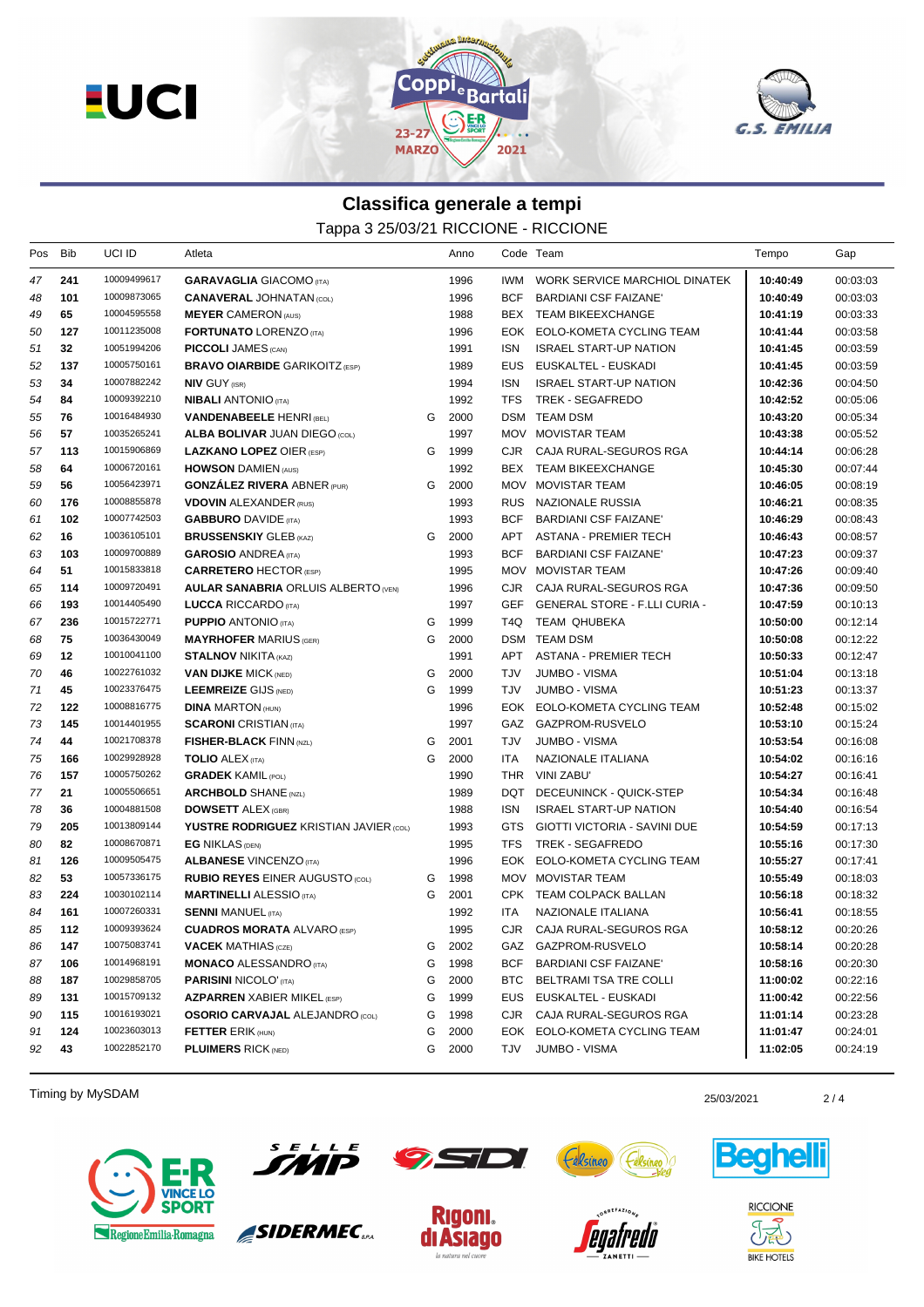



## **Classifica generale a tempi**

Tappa 3 25/03/21 RICCIONE - RICCIONE

| Pos | Bib | UCI ID      | Atleta                                        |   | Anno   |            | Code Team                            | Tempo    | Gap      |
|-----|-----|-------------|-----------------------------------------------|---|--------|------------|--------------------------------------|----------|----------|
| 47  | 241 | 10009499617 | <b>GARAVAGLIA</b> GIACOMO (ITA)               |   | 1996   | IWM        | WORK SERVICE MARCHIOL DINATEK        | 10:40:49 | 00:03:03 |
| 48  | 101 | 10009873065 | <b>CANAVERAL JOHNATAN (COL)</b>               |   | 1996   | <b>BCF</b> | BARDIANI CSF FAIZANE'                | 10:40:49 | 00:03:03 |
| 49  | 65  | 10004595558 | <b>MEYER CAMERON (AUS)</b>                    |   | 1988   |            | BEX TEAM BIKEEXCHANGE                | 10:41:19 | 00:03:33 |
| 50  | 127 | 10011235008 | <b>FORTUNATO LORENZO (ITA)</b>                |   | 1996   | EOK        | EOLO-KOMETA CYCLING TEAM             | 10:41:44 | 00:03:58 |
| 51  | 32  | 10051994206 | <b>PICCOLI JAMES (CAN)</b>                    |   | 1991   | <b>ISN</b> | <b>ISRAEL START-UP NATION</b>        | 10:41:45 | 00:03:59 |
| 52  | 137 | 10005750161 | <b>BRAVO OIARBIDE GARIKOITZ (ESP)</b>         |   | 1989   | <b>EUS</b> | EUSKALTEL - EUSKADI                  | 10:41:45 | 00:03:59 |
| 53  | 34  | 10007882242 | <b>NIV GUY (ISR)</b>                          |   | 1994   | <b>ISN</b> | <b>ISRAEL START-UP NATION</b>        | 10:42:36 | 00:04:50 |
| 54  | 84  | 10009392210 | <b>NIBALI ANTONIO (ITA)</b>                   |   | 1992   | TFS        | TREK - SEGAFREDO                     | 10:42:52 | 00:05:06 |
| 55  | 76  | 10016484930 | <b>VANDENABEELE HENRI (BEL)</b>               | G | 2000   |            | DSM TEAM DSM                         | 10:43:20 | 00:05:34 |
| 56  | 57  | 10035265241 | <b>ALBA BOLIVAR JUAN DIEGO (COL)</b>          |   | 1997   |            | MOV MOVISTAR TEAM                    | 10:43:38 | 00:05:52 |
| 57  | 113 | 10015906869 | <b>LAZKANO LOPEZ OIER (ESP)</b>               | G | 1999   | CJR        | CAJA RURAL-SEGUROS RGA               | 10:44:14 | 00:06:28 |
| 58  | 64  | 10006720161 | <b>HOWSON DAMIEN (AUS)</b>                    |   | 1992   |            | BEX TEAM BIKEEXCHANGE                | 10:45:30 | 00:07:44 |
| 59  | 56  | 10056423971 | <b>GONZALEZ RIVERA ABNER (PUR)</b>            | G | 2000   |            | MOV MOVISTAR TEAM                    | 10:46:05 | 00:08:19 |
| 60  | 176 | 10008855878 | <b>VDOVIN ALEXANDER (RUS)</b>                 |   | 1993   |            | RUS NAZIONALE RUSSIA                 | 10:46:21 | 00:08:35 |
| 61  | 102 | 10007742503 | <b>GABBURO</b> DAVIDE (ITA)                   |   | 1993   | BCF        | <b>BARDIANI CSF FAIZANE'</b>         | 10:46:29 | 00:08:43 |
| 62  | 16  | 10036105101 | <b>BRUSSENSKIY GLEB (KAZ)</b>                 | G | 2000   | APT        | <b>ASTANA - PREMIER TECH</b>         | 10:46:43 | 00:08:57 |
| 63  | 103 | 10009700889 | <b>GAROSIO ANDREA</b> (ITA)                   |   | 1993   | BCF        | BARDIANI CSF FAIZANE'                | 10:47:23 | 00:09:37 |
| 64  | 51  | 10015833818 | <b>CARRETERO HECTOR (ESP)</b>                 |   | 1995   |            | MOV MOVISTAR TEAM                    | 10:47:26 | 00:09:40 |
| 65  | 114 | 10009720491 | <b>AULAR SANABRIA ORLUIS ALBERTO (VEN)</b>    |   | 1996   | CJR.       | CAJA RURAL-SEGUROS RGA               | 10:47:36 | 00:09:50 |
| 66  | 193 | 10014405490 | <b>LUCCA RICCARDO</b> (ITA)                   |   | 1997   | GEF        | <b>GENERAL STORE - F.LLI CURIA -</b> | 10:47:59 | 00:10:13 |
| 67  | 236 | 10015722771 | <b>PUPPIO ANTONIO (ITA)</b>                   | G | 1999   | T4Q        | TEAM QHUBEKA                         | 10:50:00 | 00:12:14 |
| 68  | 75  | 10036430049 | <b>MAYRHOFER MARIUS (GER)</b>                 | G | 2000   |            | <b>DSM TEAM DSM</b>                  | 10:50:08 | 00:12:22 |
| 69  | 12  | 10010041100 | <b>STALNOV NIKITA (KAZ)</b>                   |   | 1991   | APT        | <b>ASTANA - PREMIER TECH</b>         | 10:50:33 | 00:12:47 |
| 70  | 46  | 10022761032 | <b>VAN DIJKE MICK (NED)</b>                   | G | 2000   | TJV        | <b>JUMBO - VISMA</b>                 | 10:51:04 | 00:13:18 |
| 71  | 45  | 10023376475 | <b>LEEMREIZE GIJS (NED)</b>                   | G | 1999   | <b>TJV</b> | JUMBO - VISMA                        | 10:51:23 | 00:13:37 |
| 72  | 122 | 10008816775 | <b>DINA MARTON (HUN)</b>                      |   | 1996   |            | EOK EOLO-KOMETA CYCLING TEAM         | 10:52:48 | 00:15:02 |
| 73  | 145 | 10014401955 | <b>SCARONI</b> CRISTIAN (ITA)                 |   | 1997   |            | GAZ GAZPROM-RUSVELO                  | 10:53:10 | 00:15:24 |
| 74  | 44  | 10021708378 | <b>FISHER-BLACK FINN (NZL)</b>                | G | 2001   | TJV        | JUMBO - VISMA                        | 10:53:54 | 00:16:08 |
| 75  | 166 | 10029928928 | <b>TOLIO ALEX (ITA)</b>                       | G | 2000   | ITA        | NAZIONALE ITALIANA                   | 10:54:02 | 00:16:16 |
| 76  | 157 | 10005750262 | <b>GRADEK KAMIL (POL)</b>                     |   | 1990   | THR        | VINI ZABU'                           | 10:54:27 | 00:16:41 |
| 77  | 21  | 10005506651 | <b>ARCHBOLD SHANE (NZL)</b>                   |   | 1989   | DQT        | DECEUNINCK - QUICK-STEP              | 10:54:34 | 00:16:48 |
| 78  | 36  | 10004881508 | <b>DOWSETT ALEX (GBR)</b>                     |   | 1988   | <b>ISN</b> | <b>ISRAEL START-UP NATION</b>        | 10:54:40 | 00:16:54 |
| 79  | 205 | 10013809144 | <b>YUSTRE RODRIGUEZ KRISTIAN JAVIER (COL)</b> |   | 1993   | GTS        | GIOTTI VICTORIA - SAVINI DUE         | 10:54:59 | 00:17:13 |
| 80  | 82  | 10008670871 | <b>EG NIKLAS (DEN)</b>                        |   | 1995   | TFS        | TREK - SEGAFREDO                     | 10:55:16 | 00:17:30 |
| 81  | 126 | 10009505475 | <b>ALBANESE VINCENZO (ITA)</b>                |   | 1996   | EOK        | EOLO-KOMETA CYCLING TEAM             | 10:55:27 | 00:17:41 |
| 82  | 53  | 10057336175 | <b>RUBIO REYES EINER AUGUSTO (COL)</b>        | G | 1998   |            | MOV MOVISTAR TEAM                    | 10:55:49 | 00:18:03 |
| 83  | 224 | 10030102114 | <b>MARTINELLI ALESSIO</b> (ITA)               | G | 2001   |            | CPK TEAM COLPACK BALLAN              | 10:56:18 | 00:18:32 |
| 84  | 161 | 10007260331 | <b>SENNI MANUEL (ITA)</b>                     |   | 1992   | ITA        | NAZIONALE ITALIANA                   | 10:56:41 | 00:18:55 |
| 85  | 112 | 10009393624 | <b>CUADROS MORATA ALVARO (ESP)</b>            |   | 1995   |            | CJR CAJA RURAL-SEGUROS RGA           | 10:58:12 | 00:20:26 |
| 86  | 147 | 10075083741 | <b>VACEK MATHIAS (CZE)</b>                    |   | G 2002 |            | GAZ GAZPROM-RUSVELO                  | 10:58:14 | 00:20:28 |
| 87  | 106 | 10014968191 | <b>MONACO ALESSANDRO</b> (ITA)                | G | 1998   |            | BCF BARDIANI CSF FAIZANE'            | 10:58:16 | 00:20:30 |
| 88  | 187 | 10029858705 | <b>PARISINI NICOLO' (ITA)</b>                 | G | 2000   | BTC        | BELTRAMI TSA TRE COLLI               | 11:00:02 | 00:22:16 |
| 89  | 131 | 10015709132 | <b>AZPARREN</b> XABIER MIKEL (ESP)            | G | 1999   |            | EUS EUSKALTEL - EUSKADI              | 11:00:42 | 00:22:56 |
| 90  | 115 | 10016193021 | <b>OSORIO CARVAJAL ALEJANDRO (COL)</b>        | G | 1998   | CJR        | CAJA RURAL-SEGUROS RGA               | 11:01:14 | 00:23:28 |
| 91  | 124 | 10023603013 | <b>FETTER ERIK (HUN)</b>                      | G | 2000   |            | EOK EOLO-KOMETA CYCLING TEAM         | 11:01:47 | 00:24:01 |
| 92  | 43  | 10022852170 | <b>PLUIMERS RICK (NED)</b>                    | G | 2000   | TJV        | JUMBO - VISMA                        | 11:02:05 | 00:24:19 |
|     |     |             |                                               |   |        |            |                                      |          |          |

Timing by MySDAM 2/4





SIDERMEC<sub>SPA</sub>







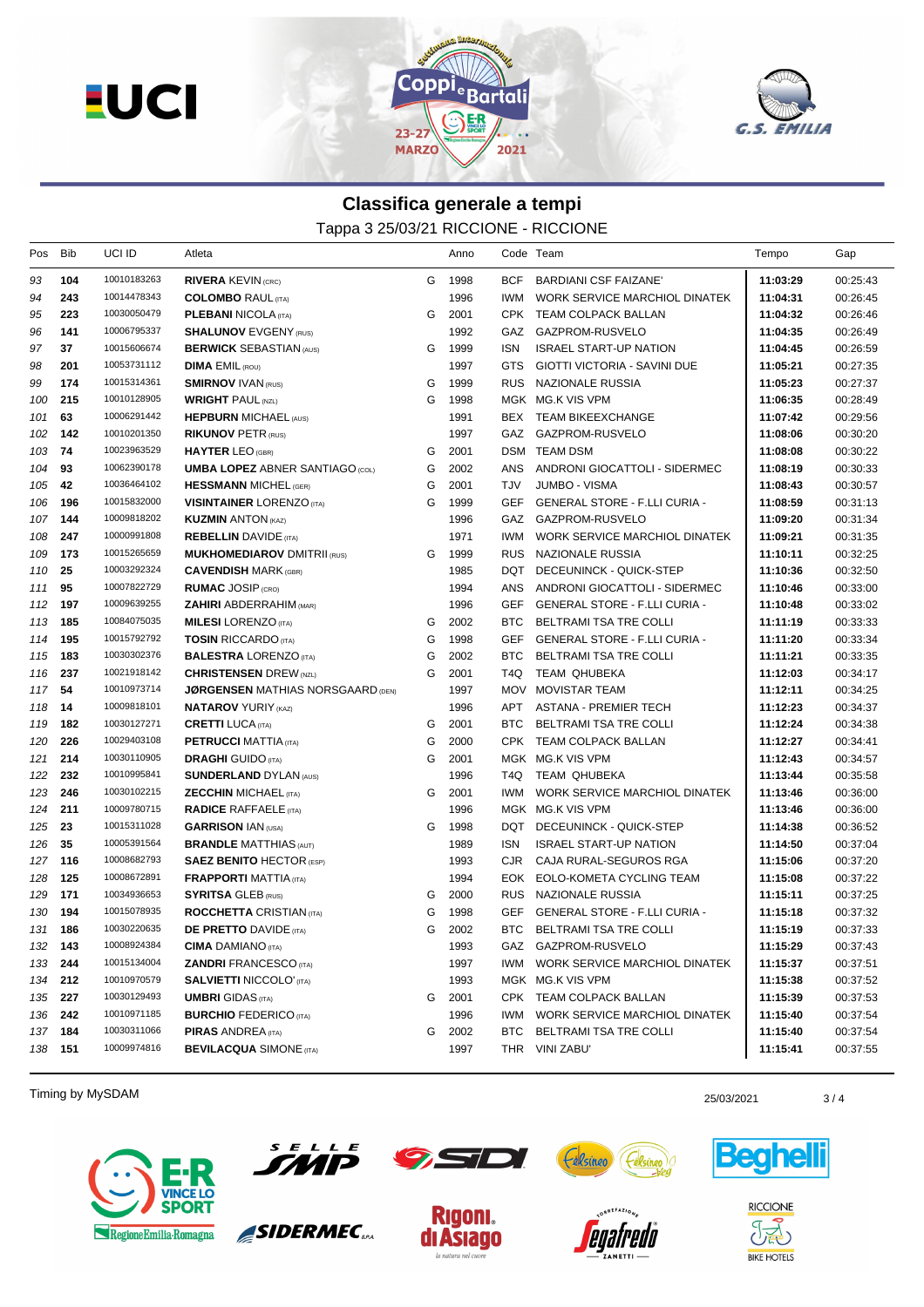



## **Classifica generale a tempi** Tappa 3 25/03/21 RICCIONE - RICCIONE

| Pos     | <b>Bib</b> | UCI ID      | Atleta                                   |   | Anno |            | Code Team                            | Tempo    | Gap      |
|---------|------------|-------------|------------------------------------------|---|------|------------|--------------------------------------|----------|----------|
| 93      | 104        | 10010183263 | <b>RIVERA KEVIN (CRC)</b>                | G | 1998 | <b>BCF</b> | <b>BARDIANI CSF FAIZANE'</b>         | 11:03:29 | 00:25:43 |
| 94      | 243        | 10014478343 | <b>COLOMBO RAUL (ITA)</b>                |   | 1996 | IWM.       | WORK SERVICE MARCHIOL DINATEK        | 11:04:31 | 00:26:45 |
| 95      | 223        | 10030050479 | <b>PLEBANI NICOLA (ITA)</b>              | G | 2001 | CPK        | TEAM COLPACK BALLAN                  | 11:04:32 | 00:26:46 |
| 96      | 141        | 10006795337 | <b>SHALUNOV EVGENY (RUS)</b>             |   | 1992 | GAZ        | GAZPROM-RUSVELO                      | 11:04:35 | 00:26:49 |
| 97      | 37         | 10015606674 | <b>BERWICK SEBASTIAN (AUS)</b>           | G | 1999 | ISN        | <b>ISRAEL START-UP NATION</b>        | 11:04:45 | 00:26:59 |
| 98      | 201        | 10053731112 | <b>DIMA EMIL (ROU)</b>                   |   | 1997 | GTS        | GIOTTI VICTORIA - SAVINI DUE         | 11:05:21 | 00:27:35 |
| 99      | 174        | 10015314361 | <b>SMIRNOV IVAN (RUS)</b>                | G | 1999 | <b>RUS</b> | NAZIONALE RUSSIA                     | 11:05:23 | 00:27:37 |
| 100     | 215        | 10010128905 | <b>WRIGHT PAUL (NZL)</b>                 | G | 1998 |            | MGK MG.K VIS VPM                     | 11:06:35 | 00:28:49 |
| 101     | 63         | 10006291442 | <b>HEPBURN MICHAEL (AUS)</b>             |   | 1991 |            | BEX TEAM BIKEEXCHANGE                | 11:07:42 | 00:29:56 |
| 102     | 142        | 10010201350 | <b>RIKUNOV PETR (RUS)</b>                |   | 1997 |            | GAZ GAZPROM-RUSVELO                  | 11:08:06 | 00:30:20 |
| 103     | 74         | 10023963529 | <b>HAYTER LEO (GBR)</b>                  | G | 2001 |            | <b>DSM TEAM DSM</b>                  | 11:08:08 | 00:30:22 |
| 104     | 93         | 10062390178 | <b>UMBA LOPEZ ABNER SANTIAGO (COL)</b>   | G | 2002 | ANS        | ANDRONI GIOCATTOLI - SIDERMEC        | 11:08:19 | 00:30:33 |
| 105     | 42         | 10036464102 | <b>HESSMANN MICHEL (GER)</b>             | G | 2001 | TJV        | JUMBO - VISMA                        | 11:08:43 | 00:30:57 |
| 106     | 196        | 10015832000 | <b>VISINTAINER LORENZO (ITA)</b>         | G | 1999 | GEF        | <b>GENERAL STORE - F.LLI CURIA -</b> | 11:08:59 | 00:31:13 |
| 107     | 144        | 10009818202 | <b>KUZMIN ANTON (KAZ)</b>                |   | 1996 | GAZ        | GAZPROM-RUSVELO                      | 11:09:20 | 00:31:34 |
| 108     | 247        | 10000991808 | <b>REBELLIN</b> DAVIDE (ITA)             |   | 1971 | IWM.       | WORK SERVICE MARCHIOL DINATEK        | 11:09:21 | 00:31:35 |
| 109     | 173        | 10015265659 | <b>MUKHOMEDIAROV DMITRII (RUS)</b>       | G | 1999 |            | RUS NAZIONALE RUSSIA                 | 11:10:11 | 00:32:25 |
| 110     | 25         | 10003292324 | <b>CAVENDISH MARK (GBR)</b>              |   | 1985 | DQT        | DECEUNINCK - QUICK-STEP              | 11:10:36 | 00:32:50 |
| 111     | 95         | 10007822729 | <b>RUMAC JOSIP (CRO)</b>                 |   | 1994 | ANS        | ANDRONI GIOCATTOLI - SIDERMEC        | 11:10:46 | 00:33:00 |
| 112     | 197        | 10009639255 | <b>ZAHIRI ABDERRAHIM (MAR)</b>           |   | 1996 | <b>GEF</b> | <b>GENERAL STORE - F.LLI CURIA -</b> | 11:10:48 | 00:33:02 |
| 113     | 185        | 10084075035 | <b>MILESI</b> LORENZO (ITA)              | G | 2002 | BTC        | BELTRAMI TSA TRE COLLI               | 11:11:19 | 00:33:33 |
| 114     | 195        | 10015792792 | <b>TOSIN RICCARDO</b> (ITA)              | G | 1998 | GEF        | <b>GENERAL STORE - F.LLI CURIA -</b> | 11:11:20 | 00:33:34 |
| 115     | 183        | 10030302376 | <b>BALESTRA LORENZO (ITA)</b>            | G | 2002 | BTC.       | BELTRAMI TSA TRE COLLI               | 11:11:21 | 00:33:35 |
| 116     | 237        | 10021918142 | <b>CHRISTENSEN DREW (NZL)</b>            | G | 2001 | T4Q.       | <b>TEAM QHUBEKA</b>                  | 11:12:03 | 00:34:17 |
| 117     | 54         | 10010973714 | <b>JØRGENSEN MATHIAS NORSGAARD (DEN)</b> |   | 1997 | MOV        | <b>MOVISTAR TEAM</b>                 | 11:12:11 | 00:34:25 |
| 118     | 14         | 10009818101 | <b>NATAROV YURIY (KAZ)</b>               |   | 1996 | APT        | ASTANA - PREMIER TECH                | 11:12:23 | 00:34:37 |
| 119     | 182        | 10030127271 | <b>CRETTI LUCA (ITA)</b>                 | G | 2001 | BTC        | BELTRAMI TSA TRE COLLI               | 11:12:24 | 00:34:38 |
| 120     | 226        | 10029403108 | <b>PETRUCCI MATTIA (ITA)</b>             | G | 2000 |            | CPK TEAM COLPACK BALLAN              | 11:12:27 | 00:34:41 |
| 121     | 214        | 10030110905 | <b>DRAGHI</b> GUIDO (ITA)                | G | 2001 |            | MGK MG.K VIS VPM                     | 11:12:43 | 00:34:57 |
| 122     | 232        | 10010995841 | <b>SUNDERLAND DYLAN (AUS)</b>            |   | 1996 | T4Q.       | TEAM QHUBEKA                         | 11:13:44 | 00:35:58 |
| 123     | 246        | 10030102215 | <b>ZECCHIN MICHAEL (ITA)</b>             | G | 2001 | IWM.       | WORK SERVICE MARCHIOL DINATEK        | 11:13:46 | 00:36:00 |
| 124     | 211        | 10009780715 | <b>RADICE RAFFAELE</b> (ITA)             |   | 1996 |            | MGK MG.K VIS VPM                     | 11:13:46 | 00:36:00 |
| 125     | 23         | 10015311028 | <b>GARRISON IAN (USA)</b>                | G | 1998 | DQT        | DECEUNINCK - QUICK-STEP              | 11:14:38 | 00:36:52 |
| 126     | 35         | 10005391564 | <b>BRANDLE MATTHIAS (AUT)</b>            |   | 1989 | <b>ISN</b> | <b>ISRAEL START-UP NATION</b>        | 11:14:50 | 00:37:04 |
| 127     | 116        | 10008682793 | <b>SAEZ BENITO HECTOR (ESP)</b>          |   | 1993 | CJR.       | CAJA RURAL-SEGUROS RGA               | 11:15:06 | 00:37:20 |
| 128     | 125        | 10008672891 | <b>FRAPPORTI MATTIA (ITA)</b>            |   | 1994 | EOK        | EOLO-KOMETA CYCLING TEAM             | 11:15:08 | 00:37:22 |
| 129     | 171        | 10034936653 | <b>SYRITSA GLEB (RUS)</b>                | G | 2000 | RUS        | NAZIONALE RUSSIA                     | 11:15:11 | 00:37:25 |
| 130     | 194        | 10015078935 | <b>ROCCHETTA CRISTIAN (ITA)</b>          | G | 1998 | <b>GEF</b> | <b>GENERAL STORE - F.LLI CURIA -</b> | 11:15:18 | 00:37:32 |
| 131     | 186        | 10030220635 | <b>DE PRETTO DAVIDE (ITA)</b>            | G | 2002 | BTC.       | BELTRAMI TSA TRE COLLI               | 11:15:19 | 00:37:33 |
| 132 143 |            | 10008924384 | <b>CIMA</b> DAMIANO (ITA)                |   | 1993 |            | GAZ GAZPROM-RUSVELO                  | 11:15:29 | 00:37:43 |
| 133 244 |            | 10015134004 | <b>ZANDRI FRANCESCO (ITA)</b>            |   | 1997 | IWM        | WORK SERVICE MARCHIOL DINATEK        | 11:15:37 | 00:37:51 |
| 134     | 212        | 10010970579 | <b>SALVIETTI NICCOLO' (ITA)</b>          |   | 1993 |            | MGK MG.K VIS VPM                     | 11:15:38 | 00:37:52 |
| 135 227 |            | 10030129493 | <b>UMBRI</b> GIDAS (ITA)                 | G | 2001 |            | CPK TEAM COLPACK BALLAN              | 11:15:39 | 00:37:53 |
| 136     | 242        | 10010971185 | <b>BURCHIO FEDERICO (ITA)</b>            |   | 1996 | IWM        | WORK SERVICE MARCHIOL DINATEK        | 11:15:40 | 00:37:54 |
| 137 184 |            | 10030311066 | <b>PIRAS ANDREA</b> (ITA)                | G | 2002 | BTC.       | BELTRAMI TSA TRE COLLI               | 11:15:40 | 00:37:54 |
| 138 151 |            | 10009974816 | <b>BEVILACQUA SIMONE (ITA)</b>           |   | 1997 |            | THR VINI ZABU'                       | 11:15:41 | 00:37:55 |

Timing by MySDAM 25/03/2021 25/03/2021 25/03/2021 25/03/2021 25/03/2021 25/03/2021





SIDERMEC<sub>SPA</sub>









**RICCIONE**  $\partial \widetilde{\mathbb{E}}$ **BIKE HOTELS**